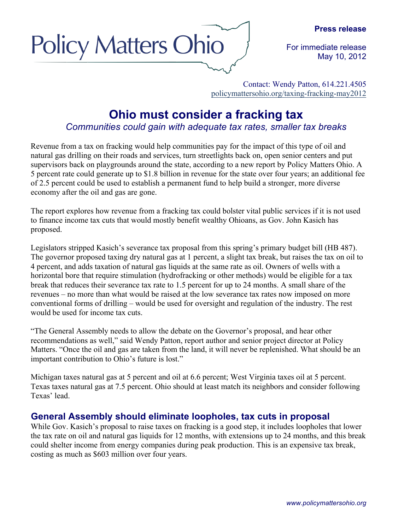

For immediate release May 10, 2012

Contact: Wendy Patton, 614.221.4505 policymattersohio.org/taxing-fracking-may2012

## **Ohio must consider a fracking tax**

*Communities could gain with adequate tax rates, smaller tax breaks*

Revenue from a tax on fracking would help communities pay for the impact of this type of oil and natural gas drilling on their roads and services, turn streetlights back on, open senior centers and put supervisors back on playgrounds around the state, according to a new report by Policy Matters Ohio. A 5 percent rate could generate up to \$1.8 billion in revenue for the state over four years; an additional fee of 2.5 percent could be used to establish a permanent fund to help build a stronger, more diverse economy after the oil and gas are gone.

The report explores how revenue from a fracking tax could bolster vital public services if it is not used to finance income tax cuts that would mostly benefit wealthy Ohioans, as Gov. John Kasich has proposed.

Legislators stripped Kasich's severance tax proposal from this spring's primary budget bill (HB 487). The governor proposed taxing dry natural gas at 1 percent, a slight tax break, but raises the tax on oil to 4 percent, and adds taxation of natural gas liquids at the same rate as oil. Owners of wells with a horizontal bore that require stimulation (hydrofracking or other methods) would be eligible for a tax break that reduces their severance tax rate to 1.5 percent for up to 24 months. A small share of the revenues – no more than what would be raised at the low severance tax rates now imposed on more conventional forms of drilling – would be used for oversight and regulation of the industry. The rest would be used for income tax cuts.

"The General Assembly needs to allow the debate on the Governor's proposal, and hear other recommendations as well," said Wendy Patton, report author and senior project director at Policy Matters. "Once the oil and gas are taken from the land, it will never be replenished. What should be an important contribution to Ohio's future is lost."

Michigan taxes natural gas at 5 percent and oil at 6.6 percent; West Virginia taxes oil at 5 percent. Texas taxes natural gas at 7.5 percent. Ohio should at least match its neighbors and consider following Texas' lead.

## **General Assembly should eliminate loopholes, tax cuts in proposal**

While Gov. Kasich's proposal to raise taxes on fracking is a good step, it includes loopholes that lower the tax rate on oil and natural gas liquids for 12 months, with extensions up to 24 months, and this break could shelter income from energy companies during peak production. This is an expensive tax break, costing as much as \$603 million over four years.